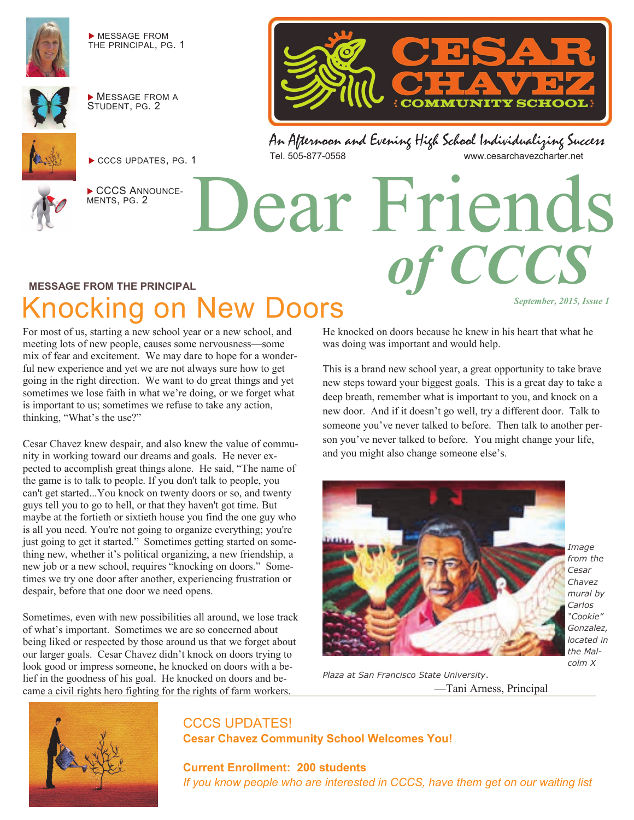

 MESSAGE FROM THE PRINCIPAL, PG. 1



**MESSAGE FROM A** STUDENT, PG. 2



CCCS UPDATES, PG. 1



CCCS ANNOUNCE-MENTS, PG. 2



**COMMUNITY SCHOOL** 

# Dear Friends *of CCCS*

#### **MESSAGE FROM THE PRINCIPAL**

## Knocking on New Doors

For most of us, starting a new school year or a new school, and meeting lots of new people, causes some nervousness—some mix of fear and excitement. We may dare to hope for a wonderful new experience and yet we are not always sure how to get going in the right direction. We want to do great things and yet sometimes we lose faith in what we're doing, or we forget what is important to us; sometimes we refuse to take any action, thinking, "What's the use?"

Cesar Chavez knew despair, and also knew the value of community in working toward our dreams and goals. He never expected to accomplish great things alone. He said, "The name of the game is to talk to people. If you don't talk to people, you can't get started...You knock on twenty doors or so, and twenty guys tell you to go to hell, or that they haven't got time. But maybe at the fortieth or sixtieth house you find the one guy who is all you need. You're not going to organize everything; you're just going to get it started." Sometimes getting started on something new, whether it's political organizing, a new friendship, a new job or a new school, requires "knocking on doors." Sometimes we try one door after another, experiencing frustration or despair, before that one door we need opens.

Sometimes, even with new possibilities all around, we lose track of what's important. Sometimes we are so concerned about being liked or respected by those around us that we forget about our larger goals. Cesar Chavez didn't knock on doors trying to look good or impress someone, he knocked on doors with a belief in the goodness of his goal. He knocked on doors and became a civil rights hero fighting for the rights of farm workers.

He knocked on doors because he knew in his heart that what he was doing was important and would help.

This is a brand new school year, a great opportunity to take brave new steps toward your biggest goals. This is a great day to take a deep breath, remember what is important to you, and knock on a new door. And if it doesn't go well, try a different door. Talk to someone you've never talked to before. Then talk to another person you've never talked to before. You might change your life, and you might also change someone else's.



*Image from the Cesar Chavez mural by Carlos "Cookie" Gonzalez, located in the Malcolm X* 

*September, 2015, Issue 1* 

*Plaza at San Francisco State University*. —Tani Arness, Principal



#### CCCS UPDATES! **Cesar Chavez Community School Welcomes You!**

**Current Enrollment: 200 students** *If you know people who are interested in CCCS, have them get on our waiting list*